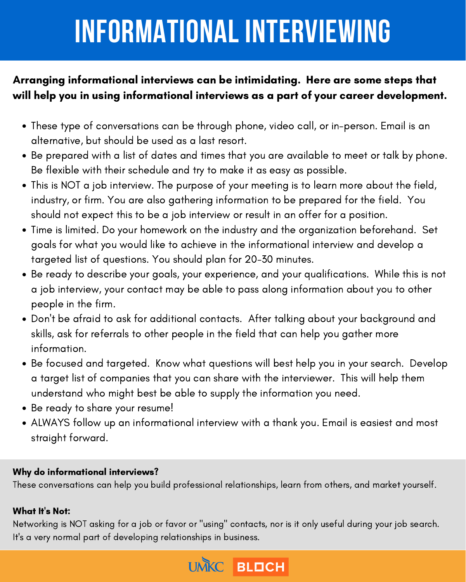- These type of conversations can be through phone, video call, or in-person. Email is an alternative, but should be used as a last resort.
- Be prepared with a list of dates and times that you are available to meet or talk by phone. Be flexible with their schedule and try to make it as easy as possible.
- This is NOT a job interview. The purpose of your meeting is to learn more about the field, industry, or firm. You are also gathering information to be prepared for the field. You should not expect this to be a job interview or result in an offer for a position.
- Time is limited. Do your homework on the industry and the organization beforehand. Set goals for what you would like to achieve in the informational interview and develop a targeted list of questions. You should plan for 20-30 minutes.
- Be ready to describe your goals, your experience, and your qualifications. While this is not  $\bullet$ a job interview, your contact may be able to pass along information about you to other people in the firm.
- Don 't be afraid to ask for additional contacts. After talking about your background and skills, ask for referrals to other people in the field that can help you gather more information.
- Be focused and targeted. Know what questions will best help you in your search. Develop a target list of companies that you can share with the interviewer. This will help them understand who might best be able to supply the information you need.
- Be ready to share your resume!  $\bullet$
- ALWAYS follow up an informational interview with a thank you. Email is easiest and most straight forward.

Networking is NOT asking for a job or favor or "using" contacts, nor is it only useful during your job search. It' s a very normal part of developing relationships in business.



## Arranging informational interviews can be intimidating. Here are some steps that will help you in using informational interviews as a part of your career development.

# **INFORMATIONAL INTERVIEWING**

### Why do informational interviews?

These conversations can help you build professional relationships, learn from others, and market yourself.

#### What It' s Not: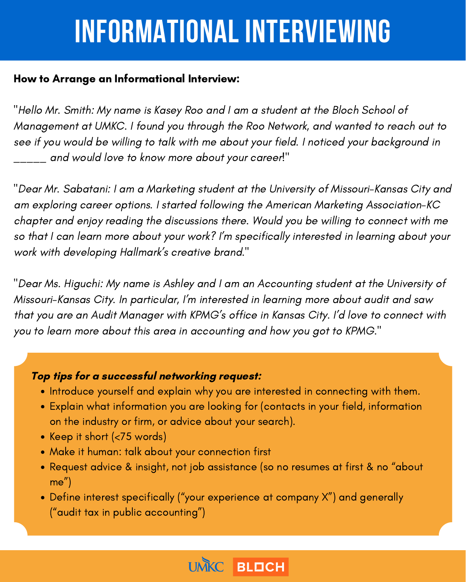## **INFORMATIONAL INTERVIEWING**

### How to Arrange an Informational Interview:

"Hello Mr. Smith: My name is Kasey Roo and I am a student at the Bloch School of Management at UMKC. I found you through the Roo Network, and wanted to reach out to see if you would be willing to talk with me about your field. I noticed your background in \_\_\_\_\_ and would love to know more about your career!"

"Dear Mr. Sabatani: I am a Marketing student at the University of Missouri-Kansas City and am exploring career options. I started following the American Marketing Association-KC chapter and enjoy reading the discussions there. Would you be willing to connect with me so that I can learn more about your work? I' m specifically interested in learning about your work with developing Hallmark' s creative brand."

- Introduce yourself and explain why you are interested in connecting with them.
- Explain what information you are looking for (contacts in your field, information on the industry or firm, or advice about your search).
- Keep it short (<75 words)
- Make it human: talk about your connection first
- Request advice & insight, not job assistance (so no resumes at first & no " about me ")
- Define interest specifically (" your experience at company X") and generally (" audit tax in public accounting ")



"Dear Ms. Higuchi: My name is Ashley and I am an Accounting student at the University of Missouri-Kansas City. In particular, I' m interested in learning more about audit and saw that you are an Audit Manager with KPMG' s office in Kansas City. I'd love to connect with you to learn more about this area in accounting and how you got to KPMG."

### Top tips for a successful networking request: